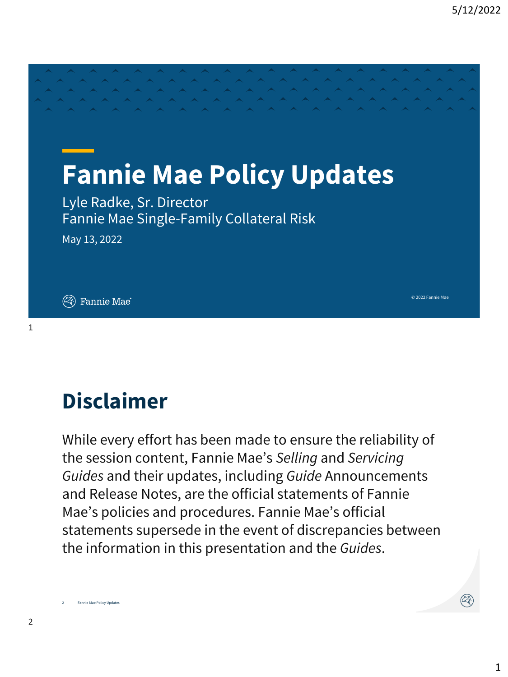© 2022 Fannie Mae

# **Fannie Mae Policy Updates**

Lyle Radke, Sr. Director Fannie Mae Single-Family Collateral Risk

May 13, 2022

 $(\widehat{\ll \hspace{-1.2cm}\mathbb{R}})$  Fannie Mae $\degree$ 

# **Disclaimer**

While every effort has been made to ensure the reliability of the session content, Fannie Mae's *Selling* and *Servicing Guides* and their updates, including *Guide* Announcements and Release Notes, are the official statements of Fannie Mae's policies and procedures. Fannie Mae's official statements supersede in the event of discrepancies between the information in this presentation and the *Guides*.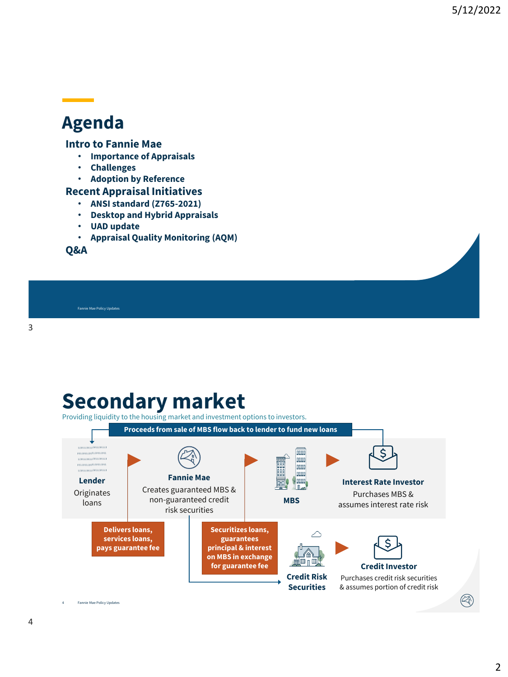#### **Agenda**

#### **Intro to Fannie Mae**

- **Importance of Appraisals**
- **Challenges**
- **Adoption by Reference**

#### **Recent Appraisal Initiatives**

- **ANSI standard (Z765-2021)**
- **Desktop and Hybrid Appraisals**
- **UAD update**
- **Appraisal Quality Monitoring (AQM)**

**Q&A**

Fannie Mae Policy Updates

### **Secondary market**

Providing liquidity to the housing market and investment options to investors.

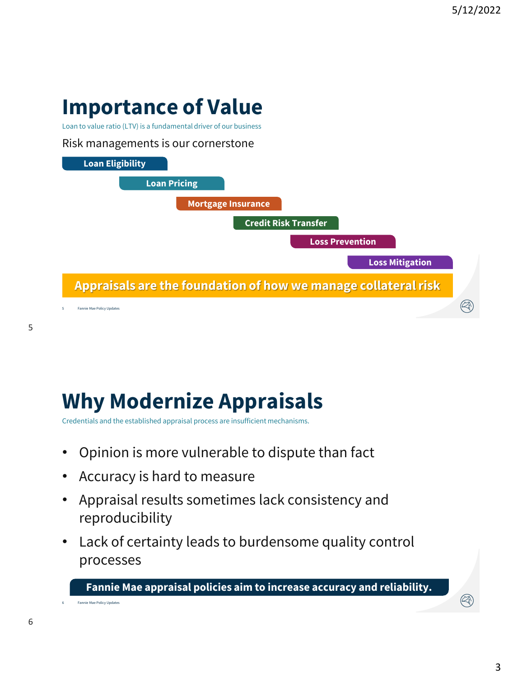# **Importance of Value**

Loan to value ratio (LTV) is a fundamental driver of our business

#### Risk managements is our cornerstone



# **Why Modernize Appraisals**

Credentials and the established appraisal process are insufficient mechanisms.

- Opinion is more vulnerable to dispute than fact
- Accuracy is hard to measure
- Appraisal results sometimes lack consistency and reproducibility
- Lack of certainty leads to burdensome quality control processes

**Fannie Mae appraisal policies aim to increase accuracy and reliability.**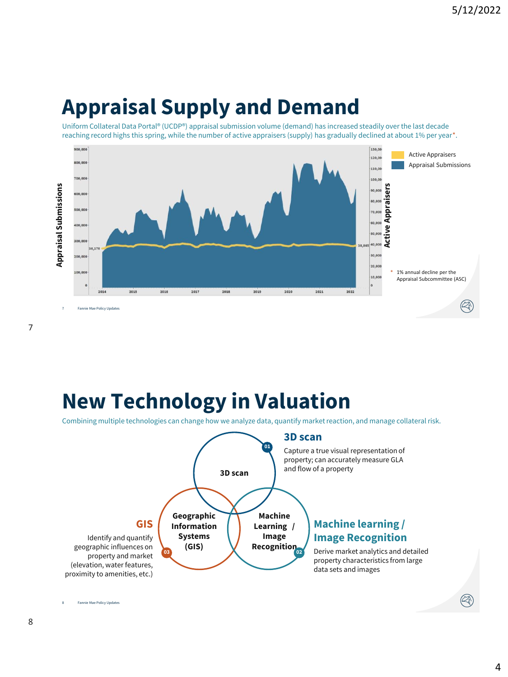### **Appraisal Supply and Demand**

Uniform Collateral Data Portal® (UCDP®) appraisal submission volume (demand) has increased steadily over the last decade reaching record highs this spring, while the number of active appraisers (supply) has gradually declined at about 1% per year\*.



### **New Technology in Valuation**

Combining multiple technologies can change how we analyze data, quantify market reaction, and manage collateral risk.

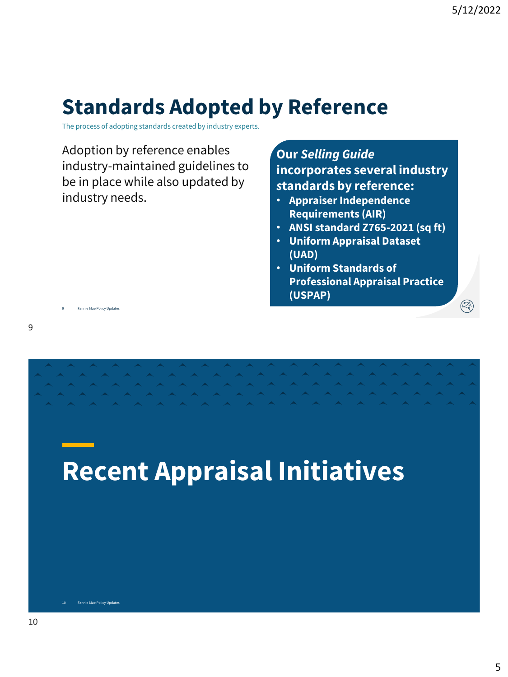## **Standards Adopted by Reference**

The process of adopting standards created by industry experts.

Adoption by reference enables industry-maintained guidelines to be in place while also updated by industry needs.

**Our** *Selling Guide* **incorporates several industry**  *s***tandards by reference:**

- **Appraiser Independence Requirements (AIR)**
- **ANSI standard Z765-2021 (sq ft)**
- **Uniform Appraisal Dataset (UAD)**
- **Uniform Standards of Professional Appraisal Practice (USPAP)**

9

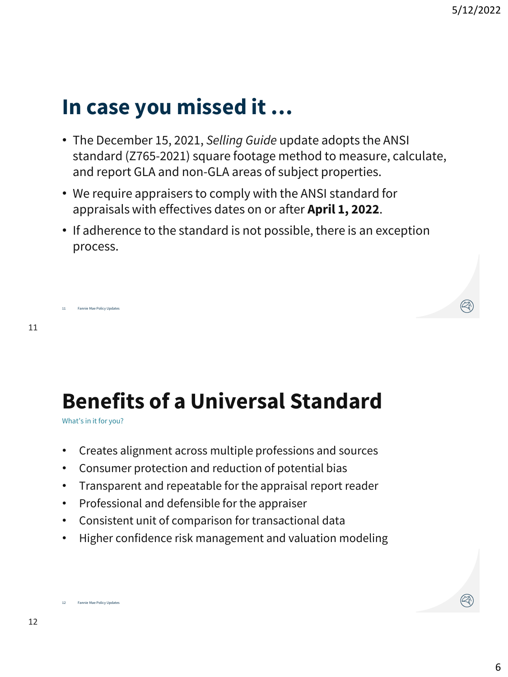### **In case you missed it …**

- The December 15, 2021, *Selling Guide* update adopts the ANSI standard (Z765-2021) square footage method to measure, calculate, and report GLA and non-GLA areas of subject properties.
- We require appraisers to comply with the ANSI standard for appraisals with effectives dates on or after **April 1, 2022**.
- If adherence to the standard is not possible, there is an exception process.

```
11
```
# **Benefits of a Universal Standard**

What's in it for you?

- Creates alignment across multiple professions and sources
- Consumer protection and reduction of potential bias
- Transparent and repeatable for the appraisal report reader
- Professional and defensible for the appraiser
- Consistent unit of comparison for transactional data
- Higher confidence risk management and valuation modeling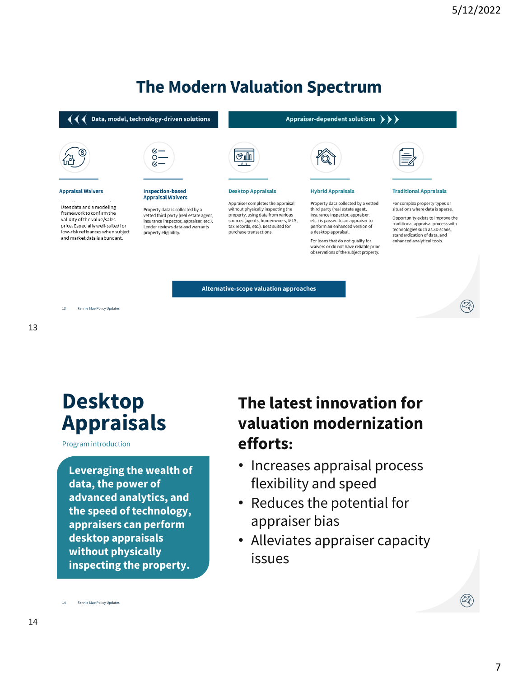#### **The Modern Valuation Spectrum**

#### $\blacklozenge$   $\blacklozenge$   $\blacklozenge$  Data, model, technology-driven solutions



#### **Appraisal Waivers**

Uses data and a modeling framework to confirm the validity of the value/sales price. Especially well-suited for low-risk refinances when subject and market data is abundant.



#### **Inspection-based Appraisal Waivers**

Property data is collected by a<br>vetted third party (real estate agent, insurance inspector, appraiser, etc.). Lender reviews data and warrants property eligibility.

# ௹

#### **Desktop Appraisals**

Appraiser completes the appraisal without physically inspecting the<br>property, using data from various sources (agents, homeowners, MLS,<br>tax records, etc.). Best suited for purchase transactions.

#### Appraiser-dependent solutions  $\rightarrow \rightarrow \rightarrow$



#### **Hybrid Appraisals**

Property data collected by a vetted third party (real estate agent,<br>insurance inspector, appraiser, etc.) is passed to an appraiser to perform an enhanced version of a desktop appraisal.

For loans that do not qualify for waivers or do not have reliable prior observations of the subject property.

#### **Traditional Appraisals**

For complex property types or situations where data is sparse.

Opportunity exists to improve the traditional appraisal process with technologies such as 3D scans, standardization of data, and enhanced analytical tools.

Alternative-scope valuation approaches

13

#### **Desktop Appraisals**

Program introduction

**Leveraging the wealth of data, the power of advanced analytics, and the speed of technology, appraisers can perform desktop appraisals without physically inspecting the property.**

#### **The latest innovation for valuation modernization efforts:**

- Increases appraisal process flexibility and speed
- Reduces the potential for appraiser bias
- Alleviates appraiser capacity issues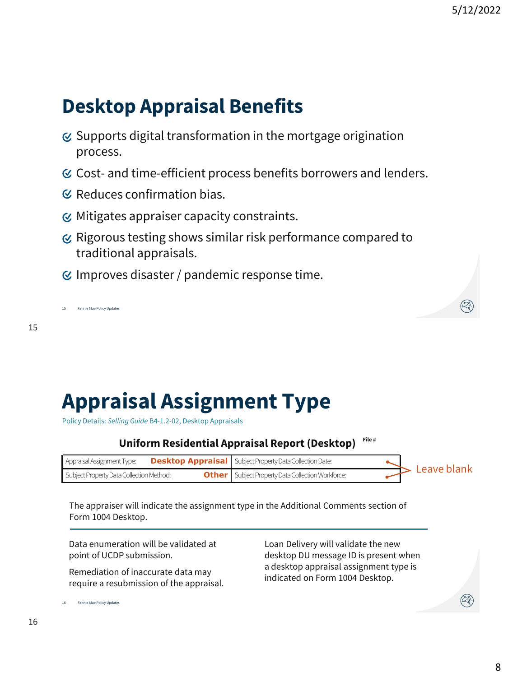### **Desktop Appraisal Benefits**

- $\sigma$  Supports digital transformation in the mortgage origination process.
- $\mathcal C$  Cost- and time-efficient process benefits borrowers and lenders.
- $\mathcal C$  Reduces confirmation bias.
- $\odot$  Mitigates appraiser capacity constraints.
- $\alpha$  Rigorous testing shows similar risk performance compared to traditional appraisals.
- $<$  Improves disaster / pandemic response time.

15 Fannie Mae Policy Updates

15

# **Appraisal Assignment Type**

Policy Details: *Selling Guide* B4-1.2-02, Desktop Appraisals

#### **Uniform Residential Appraisal Report (Desktop)**

| Appraisal Assignment Type:               | <b>Desktop Appraisal</b> Subject Property Data Collection Date: |                              |
|------------------------------------------|-----------------------------------------------------------------|------------------------------|
| Subject Property Data Collection Method: | <b>Other</b>   Subject Property Data Collection Workforce:      | $\triangleright$ Leave blank |

Loan Delivery will validate the new desktop DU message ID is present when a desktop appraisal assignment type is indicated on Form 1004 Desktop.

The appraiser will indicate the assignment type in the Additional Comments section of Form 1004 Desktop.

Data enumeration will be validated at point of UCDP submission.

Remediation of inaccurate data may require a resubmission of the appraisal.

Fannie Mae Policy Updates 16

16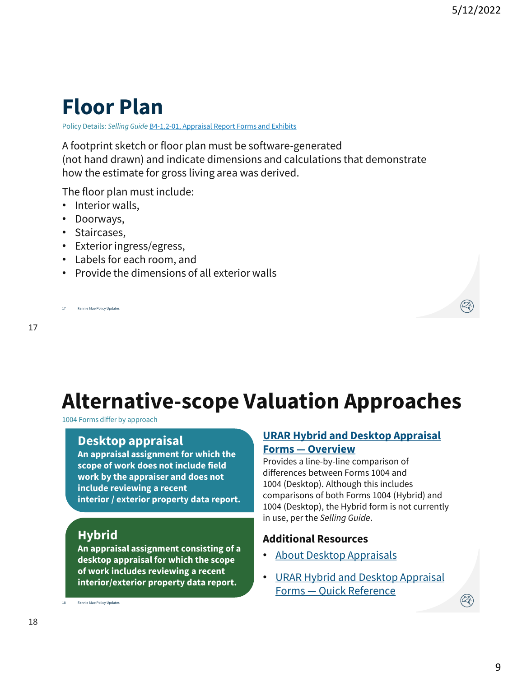### **Floor Plan**

Policy Details: *Selling Guide* B4-1.2-01, Appraisal Report Forms and Exhibits

A footprint sketch or floor plan must be software-generated (not hand drawn) and indicate dimensions and calculations that demonstrate how the estimate for gross living area was derived.

The floor plan must include:

- Interior walls,
- Doorways,
- Staircases,
- Exterior ingress/egress,
- Labels for each room, and
- Provide the dimensions of all exterior walls

Fannie Mae Policy Updates 17

17

**Alternative-scope Valuation Approaches**

1004 Forms differ by approach

#### **Desktop appraisal**

**An appraisal assignment for which the scope of work does not include field work by the appraiser and does not include reviewing a recent interior / exterior property data report.**

#### **Hybrid**

**An appraisal assignment consisting of a desktop appraisal for which the scope of work includes reviewing a recent interior/exterior property data report.** 

18 Fannie Mae Policy Updates

#### **URAR Hybrid and Desktop Appraisal Forms — Overview**

Provides a line-by-line comparison of differences between Forms 1004 and 1004 (Desktop). Although this includes comparisons of both Forms 1004 (Hybrid) and 1004 (Desktop), the Hybrid form is not currently in use, per the *Selling Guide*.

#### **Additional Resources**

- About Desktop Appraisals
- URAR Hybrid and Desktop Appraisal Forms — Quick Reference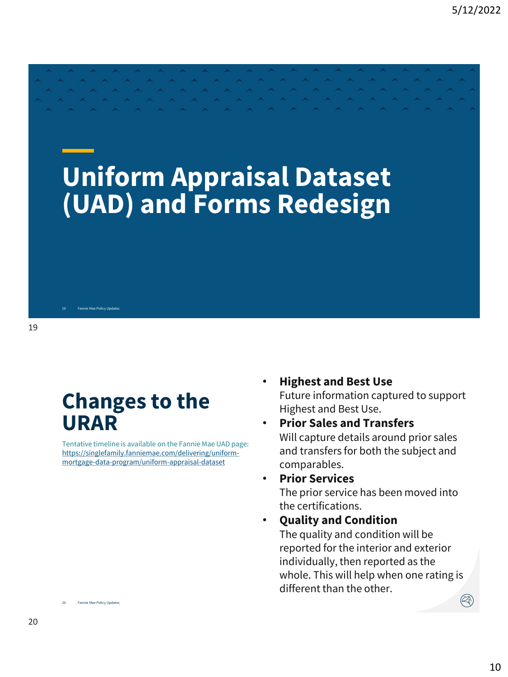# **Uniform Appraisal Dataset (UAD) and Forms Redesign**

#### **Changes to the URAR**

**Eannie Mae Policy Undates** 

Tentative timeline is available on the Fannie Mae UAD page: https://singlefamily.fanniemae.com/delivering/uniformmortgage-data-program/uniform-appraisal-dataset

- **Highest and Best Use** Future information captured to support Highest and Best Use.
- **Prior Sales and Transfers** Will capture details around prior sales and transfers for both the subject and comparables.
- **Prior Services** The prior service has been moved into the certifications.
- **Quality and Condition** The quality and condition will be reported for the interior and exterior individually, then reported as the whole. This will help when one rating is different than the other.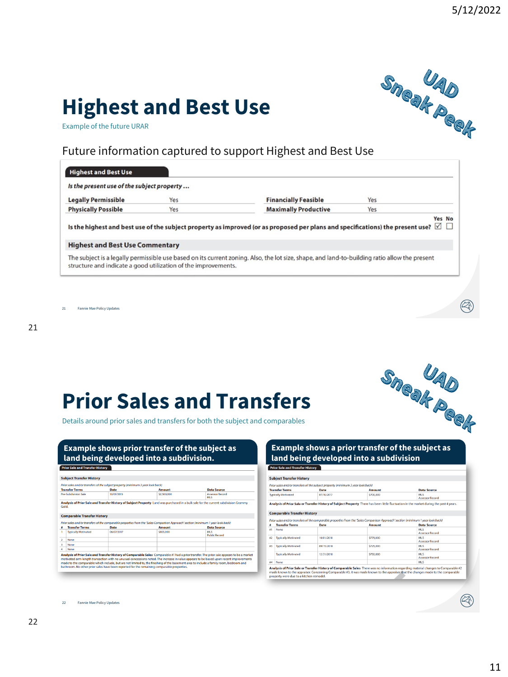Q

# **Highest and Best Use**



Example of the future URAR

#### Future information captured to support Highest and Best Use

| Is the present use of the subject property |     |                                                                                                                                                 |
|--------------------------------------------|-----|-------------------------------------------------------------------------------------------------------------------------------------------------|
| <b>Legally Permissible</b>                 | Yes | Yes<br><b>Financially Feasible</b>                                                                                                              |
| <b>Physically Possible</b>                 | Yes | <b>Maximally Productive</b><br>Yes                                                                                                              |
|                                            |     | Yes No<br>Is the highest and best use of the subject property as improved (or as proposed per plans and specifications) the present use? $\Box$ |
| <b>Highest and Best Use Commentary</b>     |     |                                                                                                                                                 |

21 Fannie Mae Policy Updates

## **Prior Sales and Transfers**

Details around prior sales and transfers for both the subject and comparables

| <b>Example shows prior transfer of the subject as</b> |
|-------------------------------------------------------|
| land being developed into a subdivision.              |

|                       |                                    | Prior sales and/or transfers of the subject property (minimum 3 year look back) |                                                                                                                                   |                                    |
|-----------------------|------------------------------------|---------------------------------------------------------------------------------|-----------------------------------------------------------------------------------------------------------------------------------|------------------------------------|
| <b>Transfer Terms</b> |                                    | Date                                                                            | <b>Amount</b>                                                                                                                     | <b>Data Source</b>                 |
|                       | Pre-Subdivision Sale               | 10/01/2015                                                                      | \$2,500,000                                                                                                                       | <b>Assessor Record</b><br>MI S     |
|                       |                                    |                                                                                 |                                                                                                                                   |                                    |
|                       | <b>Comparable Transfer History</b> |                                                                                 | Prior sales and/or transfers of the comparable properties from the 'Sales Comparison Approach' section (minimum 1 year look back) |                                    |
| â                     | <b>Transfer Terms</b>              | Date                                                                            | <b>Amount</b>                                                                                                                     | <b>Data Source</b>                 |
|                       | <b>Typically Motivated</b>         | 06/07/2017                                                                      | \$805,000                                                                                                                         | <b>MLS</b><br><b>Public Record</b> |
| Þ<br>None             |                                    |                                                                                 |                                                                                                                                   |                                    |
| 3<br>None             |                                    |                                                                                 |                                                                                                                                   |                                    |

# Sneak Peek **Example shows a prior transfer of the subject as land being developed into a subdivision**

|                        | <b>Subject Transfer History</b>    |                                                                                 |                                                                                                                                   |                                                                                                                                         |
|------------------------|------------------------------------|---------------------------------------------------------------------------------|-----------------------------------------------------------------------------------------------------------------------------------|-----------------------------------------------------------------------------------------------------------------------------------------|
|                        |                                    | Prior sales and/or transfers of the subject property (minimum 3 year look back) |                                                                                                                                   |                                                                                                                                         |
|                        | <b>Transfer Terms</b>              | Date                                                                            | Amount                                                                                                                            | Data Source                                                                                                                             |
|                        | <b>Typically Motivated</b>         | 07/10/2017                                                                      | \$700,000                                                                                                                         | <b>MLS</b><br><b>Assessor Record</b>                                                                                                    |
|                        |                                    |                                                                                 |                                                                                                                                   | Analysis of Prior Sale or Transfer History of Subject Property There has been little fluctuation in the market during the past 4 years. |
|                        | <b>Comparable Transfer History</b> |                                                                                 |                                                                                                                                   |                                                                                                                                         |
|                        |                                    |                                                                                 | Prior sales and/or transfers of the comparable properties from the 'Sales Comparison Approach' section (minimum 1 year look back) |                                                                                                                                         |
| ٠                      | <b>Transfer Terms</b>              | Date                                                                            | Amount                                                                                                                            | <b>Data Source</b>                                                                                                                      |
|                        |                                    |                                                                                 |                                                                                                                                   |                                                                                                                                         |
|                        | None                               |                                                                                 |                                                                                                                                   | <b>MLS</b><br><b>Assessor Record</b>                                                                                                    |
|                        | <b>Typically Motivated</b>         | 10/01/2018                                                                      | \$779,000                                                                                                                         | <b>MLS</b><br><b>Assessor Record</b>                                                                                                    |
|                        | <b>Typically Motivated</b>         | 09/15/2018                                                                      | \$725,000                                                                                                                         | MLS<br><b>Assessor Record</b>                                                                                                           |
| $\sharp$ 1<br>E2<br>e3 | <b>Typically Motivated</b>         | 12/31/2018                                                                      | \$750,000                                                                                                                         | MLS<br><b>Assessor Record</b>                                                                                                           |

A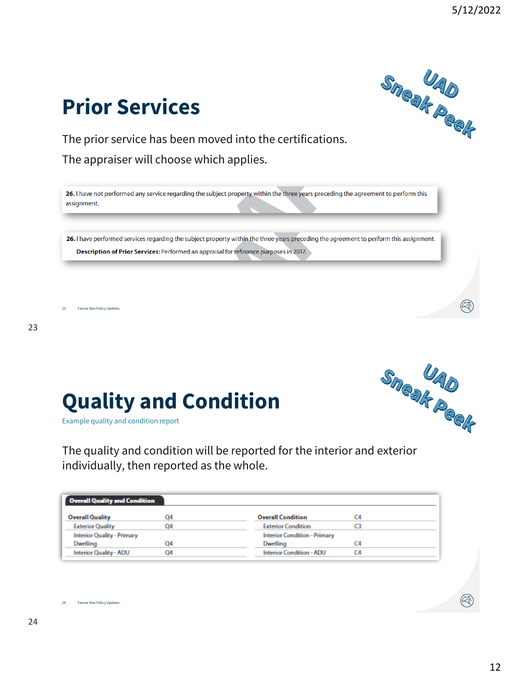**Prior Services**

The prior service has been moved into the certifications.

The appraiser will choose which applies.

26. I have not performed any service regarding the subject property within the three years preceding the agreement to perform this assignment.

26. I have performed services regarding the subject property within the three years preceding the agreement to perform this assignment. Description of Prior Services: Performed an appraisal for refinance purposes in 2017.

23 Fannie Mae Policy Updates

23

24

Example quality and condition report **Quality and Condition**

The quality and condition will be reported for the interior and exterior individually, then reported as the whole.

| <b>Overall Quality and Condition</b> |    |                                     |  |
|--------------------------------------|----|-------------------------------------|--|
| <b>Overall Quality</b>               | 04 | <b>Overall Condition</b>            |  |
| <b>Exterior Quality</b>              | 04 | <b>Exterior Condition</b>           |  |
| <b>Interior Quality - Primary</b>    |    | <b>Interior Condition - Primary</b> |  |
| Dwelling                             | Q4 | Dwelling                            |  |
| <b>Interior Quality - ADU</b>        | 04 | <b>Interior Condition - ADU</b>     |  |





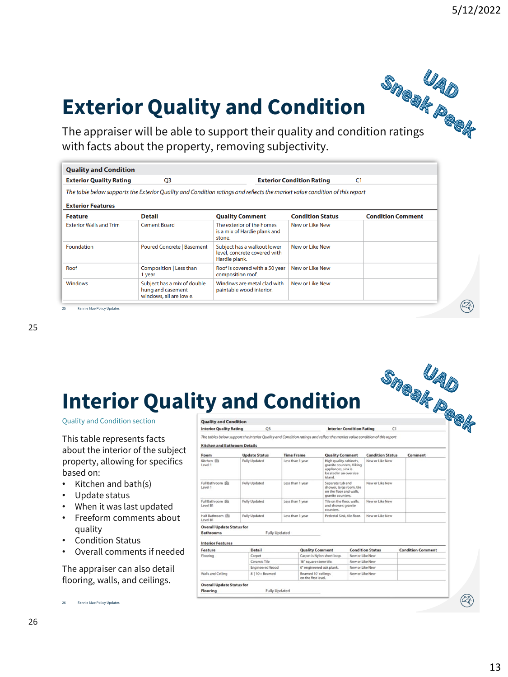# Exterior Quality and Condition<br>The appraiser will be able to support their quality and condition ratings **Exterior Quality and Condition**

with facts about the property, removing subjectivity.

| <b>Quality and Condition</b>               |                                                                                                                            |                                                                              |                                  |                          |
|--------------------------------------------|----------------------------------------------------------------------------------------------------------------------------|------------------------------------------------------------------------------|----------------------------------|--------------------------|
| <b>Exterior Quality Rating</b>             | O <sub>3</sub>                                                                                                             |                                                                              | <b>Exterior Condition Rating</b> | C <sub>1</sub>           |
|                                            | The table below supports the Exterior Quality and Condition ratings and reflects the market value condition of this report |                                                                              |                                  |                          |
| <b>Exterior Features</b><br><b>Feature</b> | <b>Detail</b>                                                                                                              | <b>Quality Comment</b>                                                       | <b>Condition Status</b>          | <b>Condition Comment</b> |
| <b>Exterior Walls and Trim</b>             | <b>Cement Board</b>                                                                                                        | The exterior of the homes<br>is a mix of Hardie plank and<br>stone.          | New or Like New                  |                          |
| <b>Foundation</b>                          | <b>Poured Concrete   Basement</b>                                                                                          | Subject has a walkout lower<br>level, concrete covered with<br>Hardie plank. | New or Like New                  |                          |
| Roof                                       | Composition   Less than<br>1 year                                                                                          | Roof is covered with a 50 year<br>composition roof.                          | New or Like New                  |                          |
| <b>Windows</b>                             | Subject has a mix of double<br>hung and casement<br>windows, all are low e.                                                | Windows are metal clad with<br>paintable wood interior.                      | New or Like New                  |                          |

25 Fannie Mae Policy Updates

# **Interior Quality and Condition**

Quality and Condition section

This table represents facts about the interior of the subject property, allowing for specifics based on:

- Kitchen and bath(s)
- Update status
- When it was last updated
- Freeform comments about quality
- Condition Status
- Overall comments if needed

The appraiser can also detail flooring, walls, and ceilings.

|                                                      | ty and Condition                                                                                                          |                      |                                                                        |                                                                                                         |                                                                                                     |                         | Sneak Peek               |
|------------------------------------------------------|---------------------------------------------------------------------------------------------------------------------------|----------------------|------------------------------------------------------------------------|---------------------------------------------------------------------------------------------------------|-----------------------------------------------------------------------------------------------------|-------------------------|--------------------------|
| <b>Quality and Condition</b>                         |                                                                                                                           |                      |                                                                        |                                                                                                         |                                                                                                     |                         |                          |
| <b>Interior Quality Rating</b>                       | O <sub>3</sub>                                                                                                            |                      |                                                                        |                                                                                                         | <b>Interior Condition Rating</b>                                                                    |                         |                          |
| <b>Kitchen and Bathroom Details</b>                  | The tables below support the Interior Quality and Condition ratings and reflect the market value condition of this report |                      |                                                                        |                                                                                                         |                                                                                                     |                         |                          |
| Room                                                 | <b>Update Status</b>                                                                                                      | <b>Time Frame</b>    |                                                                        | <b>Quality Comment</b>                                                                                  |                                                                                                     | <b>Condition Status</b> | Comment                  |
| Kitchen IRI<br>Level 1                               | <b>Fully Updated</b>                                                                                                      |                      | Less than 1 year                                                       |                                                                                                         | High quality cabinets.<br>granite counters, Viking<br>appliances, sink is<br>located in an oversize | New or Like New         |                          |
| Full Bathroom IR<br>Level 1                          | <b>Fully Updated</b>                                                                                                      | Less than 1 year     |                                                                        | island.<br>Separate tub and<br>shower, large room, tile<br>on the floor and walls.<br>granite counters. |                                                                                                     | New or Like New         |                          |
| Full Bathroom (R)<br>Level B1                        | <b>Fully Updated</b>                                                                                                      | Less than 1 year     |                                                                        | Tile on the floor, walls,<br>and shower; granite<br>counters.                                           |                                                                                                     | New or Like New         |                          |
| Half Bathroom IR<br>Level B1                         | <b>Fully Updated</b>                                                                                                      | Less than 1 year     |                                                                        | Pedestal Sink, tile floor,                                                                              |                                                                                                     | New or Like New         |                          |
| <b>Overall Update Status for</b><br><b>Bathrooms</b> |                                                                                                                           | <b>Fully Updated</b> |                                                                        |                                                                                                         |                                                                                                     |                         |                          |
| <b>Interior Features</b>                             |                                                                                                                           |                      |                                                                        |                                                                                                         |                                                                                                     |                         |                          |
| Feature                                              | <b>Detail</b>                                                                                                             |                      | <b>Quality Comment</b>                                                 |                                                                                                         |                                                                                                     | <b>Condition Status</b> | <b>Condition Comment</b> |
| Flooring                                             | Carpet<br>Ceramic Tile                                                                                                    |                      | 18° square stone tile.                                                 | Carpet is Nylon short loop.                                                                             | New or Like New                                                                                     |                         |                          |
|                                                      | <b>Engineered Wood</b>                                                                                                    |                      |                                                                        |                                                                                                         | New or Like New<br>New or Like New                                                                  |                         |                          |
| Walls and Ceiling                                    | 8'   10'+ Beamed                                                                                                          |                      | 6" engineered oak plank.<br>Beamed 10' ceilings<br>on the first level. |                                                                                                         | New or Like New                                                                                     |                         |                          |
|                                                      |                                                                                                                           |                      |                                                                        |                                                                                                         |                                                                                                     |                         |                          |
| <b>Overall Update Status for</b>                     |                                                                                                                           |                      |                                                                        |                                                                                                         |                                                                                                     |                         |                          |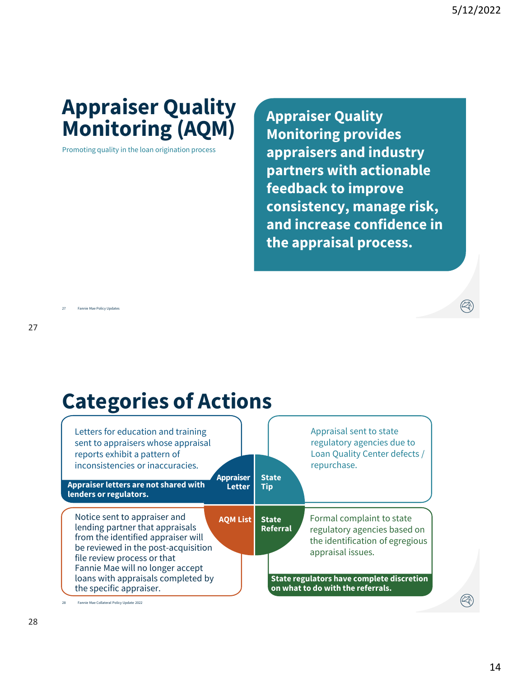### **Appraiser Quality Monitoring (AQM)**

Promoting quality in the loan origination process

**Appraiser Quality Monitoring provides appraisers and industry partners with actionable feedback to improve consistency, manage risk, and increase confidence in the appraisal process.**

27 Fannie Mae Policy Updates

### **Categories of Actions**



28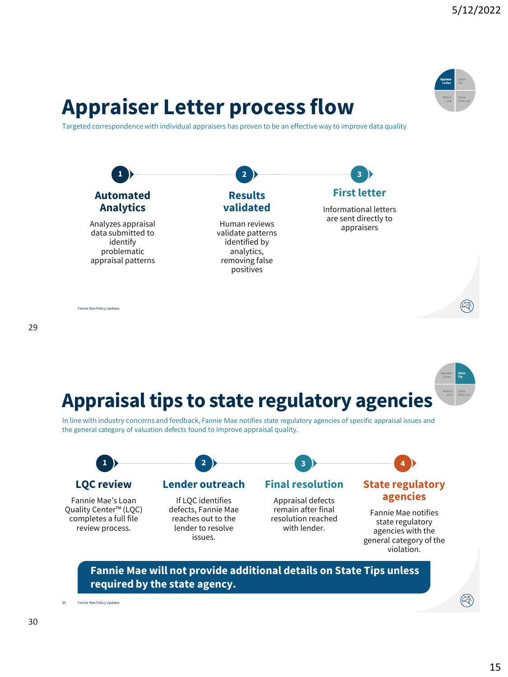#### **Appraiser Letter Watch State Referral**

### **Appraiser Letter process flow**

Targeted correspondence with individual appraisers has proven to be an effective way to improve data quality



Fannie Mae Policy Updates



In line with industry concerns and feedback, Fannie Mae notifies state regulatory agencies of specific appraisal issues and the general category of valuation defects found to improve appraisal quality.



#### **Fannie Mae will not provide additional details on State Tips unless required by the state agency.**